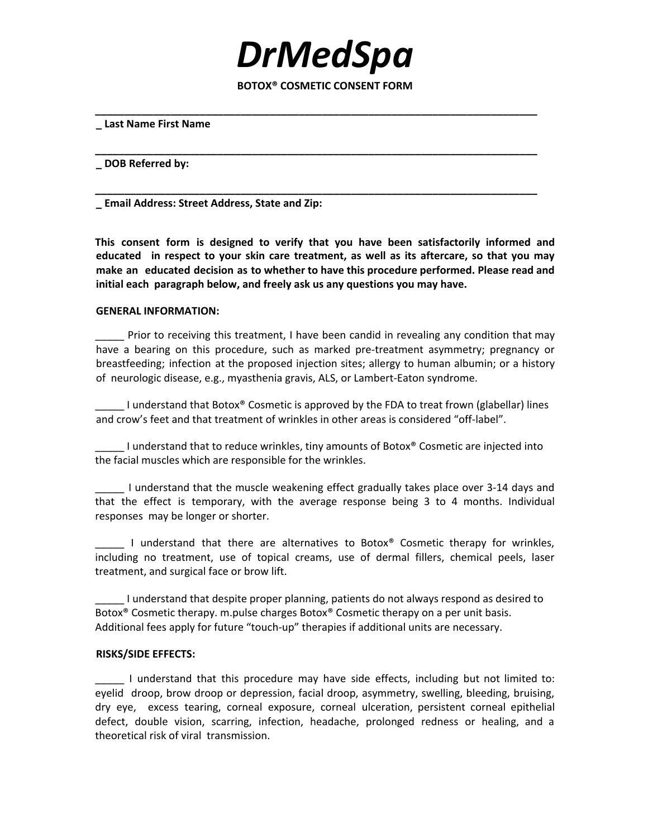**BOTOX® COSMETIC CONSENT FORM**

**\_\_\_\_\_\_\_\_\_\_\_\_\_\_\_\_\_\_\_\_\_\_\_\_\_\_\_\_\_\_\_\_\_\_\_\_\_\_\_\_\_\_\_\_\_\_\_\_\_\_\_\_\_\_\_\_\_\_\_\_\_\_\_\_\_\_\_\_\_\_\_\_\_\_\_\_**

**\_\_\_\_\_\_\_\_\_\_\_\_\_\_\_\_\_\_\_\_\_\_\_\_\_\_\_\_\_\_\_\_\_\_\_\_\_\_\_\_\_\_\_\_\_\_\_\_\_\_\_\_\_\_\_\_\_\_\_\_\_\_\_\_\_\_\_\_\_\_\_\_\_\_\_\_**

**\_\_\_\_\_\_\_\_\_\_\_\_\_\_\_\_\_\_\_\_\_\_\_\_\_\_\_\_\_\_\_\_\_\_\_\_\_\_\_\_\_\_\_\_\_\_\_\_\_\_\_\_\_\_\_\_\_\_\_\_\_\_\_\_\_\_\_\_\_\_\_\_\_\_\_\_**

*DrMedSpa*

#### **\_ Last Name First Name**

**\_ DOB Referred by:**

**\_ Email Address: Street Address, State and Zip:**

**This consent form is designed to verify that you have been satisfactorily informed and educated in respect to your skin care treatment, as well as its aftercare, so that you may make an educated decision as to whether to have this procedure performed. Please read and initial each paragraph below, and freely ask us any questions you may have.**

### **GENERAL INFORMATION:**

\_\_\_\_\_ Prior to receiving this treatment, I have been candid in revealing any condition that may have a bearing on this procedure, such as marked pre-treatment asymmetry; pregnancy or breastfeeding; infection at the proposed injection sites; allergy to human albumin; or a history of neurologic disease, e.g., myasthenia gravis, ALS, or Lambert-Eaton syndrome.

\_\_\_\_\_ I understand that Botox® Cosmetic is approved by the FDA to treat frown (glabellar) lines and crow's feet and that treatment of wrinkles in other areas is considered "off-label".

I understand that to reduce wrinkles, tiny amounts of Botox® Cosmetic are injected into the facial muscles which are responsible for the wrinkles.

\_\_\_\_\_ I understand that the muscle weakening effect gradually takes place over 3-14 days and that the effect is temporary, with the average response being 3 to 4 months. Individual responses may be longer or shorter.

I understand that there are alternatives to Botox<sup>®</sup> Cosmetic therapy for wrinkles, including no treatment, use of topical creams, use of dermal fillers, chemical peels, laser treatment, and surgical face or brow lift.

\_\_\_\_\_ I understand that despite proper planning, patients do not always respond as desired to Botox® Cosmetic therapy. m.pulse charges Botox® Cosmetic therapy on a per unit basis. Additional fees apply for future "touch-up" therapies if additional units are necessary.

#### **RISKS/SIDE EFFECTS:**

\_\_\_\_\_ I understand that this procedure may have side effects, including but not limited to: eyelid droop, brow droop or depression, facial droop, asymmetry, swelling, bleeding, bruising, dry eye, excess tearing, corneal exposure, corneal ulceration, persistent corneal epithelial defect, double vision, scarring, infection, headache, prolonged redness or healing, and a theoretical risk of viral transmission.